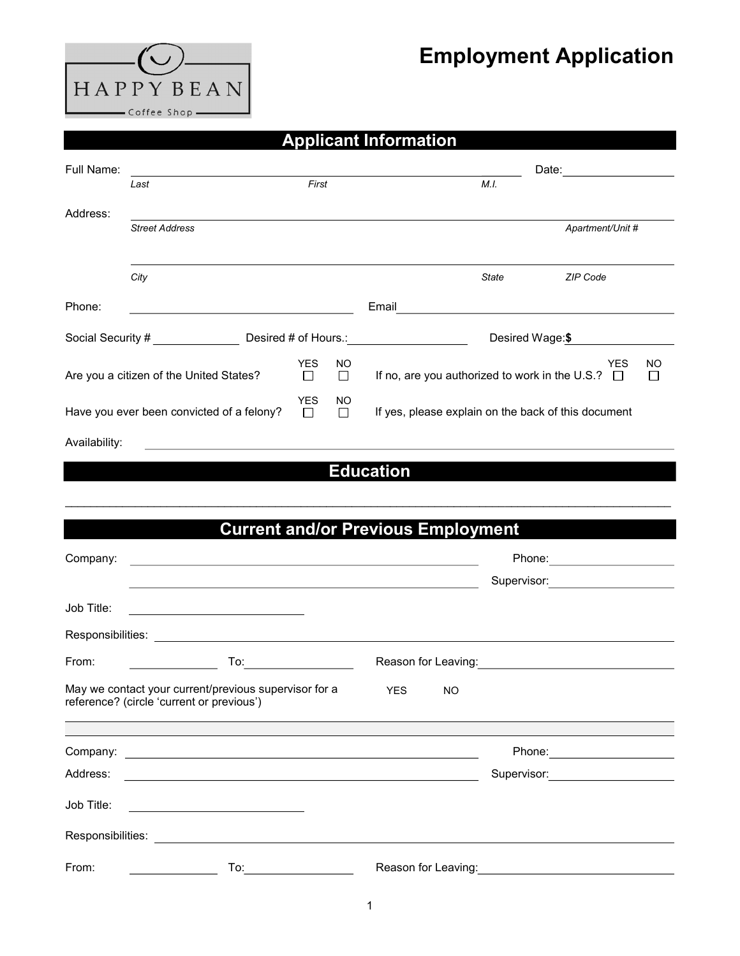## Employment Application

| <b>HAPPYBEAN</b>    |  |  |  |  |  |  |  |
|---------------------|--|--|--|--|--|--|--|
| $-$ Coffee Shop $-$ |  |  |  |  |  |  |  |

## Applicant Information

| Full Name:                                                             |                                                                                                                                                                                                                                |                                                                                                                                                                                                                                |                 |                                                                                                                        |           | Date:<br><u> 1990 - Jan James Barnett, politik e</u> ta p |                                                                                                                        |               |
|------------------------------------------------------------------------|--------------------------------------------------------------------------------------------------------------------------------------------------------------------------------------------------------------------------------|--------------------------------------------------------------------------------------------------------------------------------------------------------------------------------------------------------------------------------|-----------------|------------------------------------------------------------------------------------------------------------------------|-----------|-----------------------------------------------------------|------------------------------------------------------------------------------------------------------------------------|---------------|
|                                                                        | First<br>Last                                                                                                                                                                                                                  |                                                                                                                                                                                                                                |                 |                                                                                                                        |           | M.I.                                                      |                                                                                                                        |               |
| Address:                                                               |                                                                                                                                                                                                                                |                                                                                                                                                                                                                                |                 |                                                                                                                        |           |                                                           |                                                                                                                        |               |
|                                                                        | <b>Street Address</b>                                                                                                                                                                                                          |                                                                                                                                                                                                                                |                 |                                                                                                                        |           |                                                           | Apartment/Unit #                                                                                                       |               |
|                                                                        |                                                                                                                                                                                                                                |                                                                                                                                                                                                                                |                 |                                                                                                                        |           |                                                           |                                                                                                                        |               |
|                                                                        | City                                                                                                                                                                                                                           |                                                                                                                                                                                                                                |                 |                                                                                                                        |           | State                                                     | ZIP Code                                                                                                               |               |
| Phone:                                                                 | <u> 1989 - Johann Barn, fransk politik amerikansk politik (</u>                                                                                                                                                                |                                                                                                                                                                                                                                |                 | Email                                                                                                                  |           |                                                           | <u> 1989 - Johann Stoff, deutscher Stoffen und der Stoffen und der Stoffen und der Stoffen und der Stoffen und der</u> |               |
|                                                                        | Social Security #<br>Desired # of Hours.: Note that the set of the set of the set of the set of the set of the set of the set of the                                                                                           |                                                                                                                                                                                                                                | Desired Wage:\$ |                                                                                                                        |           |                                                           |                                                                                                                        |               |
|                                                                        | Are you a citizen of the United States?                                                                                                                                                                                        | <b>YES</b><br>□                                                                                                                                                                                                                | NO.<br>□        |                                                                                                                        |           | If no, are you authorized to work in the U.S.? $\Box$     | <b>YES</b>                                                                                                             | NO.<br>$\Box$ |
| <b>YES</b><br>Have you ever been convicted of a felony?<br>$\Box$      |                                                                                                                                                                                                                                |                                                                                                                                                                                                                                | ΝO<br>$\Box$    |                                                                                                                        |           | If yes, please explain on the back of this document       |                                                                                                                        |               |
| Availability:                                                          |                                                                                                                                                                                                                                |                                                                                                                                                                                                                                |                 |                                                                                                                        |           |                                                           |                                                                                                                        |               |
|                                                                        |                                                                                                                                                                                                                                |                                                                                                                                                                                                                                |                 | <b>Education</b>                                                                                                       |           |                                                           |                                                                                                                        |               |
|                                                                        |                                                                                                                                                                                                                                |                                                                                                                                                                                                                                |                 |                                                                                                                        |           |                                                           |                                                                                                                        |               |
|                                                                        |                                                                                                                                                                                                                                |                                                                                                                                                                                                                                |                 |                                                                                                                        |           |                                                           |                                                                                                                        |               |
|                                                                        |                                                                                                                                                                                                                                |                                                                                                                                                                                                                                |                 | <b>Current and/or Previous Employment</b>                                                                              |           |                                                           |                                                                                                                        |               |
| <u> 1989 - Johann Barn, amerikansk politiker (d. 1989)</u><br>Company: |                                                                                                                                                                                                                                |                                                                                                                                                                                                                                |                 |                                                                                                                        |           |                                                           | Phone: 2000 2000 2010 2010 2010 2010 2021 2022 2023 2024 2025 2020 2021 2022 2023 2024 2025 2026 2027 2028 20          |               |
|                                                                        | <u> 1980 - Andrea Brand, amerikansk politik (d. 1980)</u>                                                                                                                                                                      |                                                                                                                                                                                                                                |                 |                                                                                                                        |           |                                                           |                                                                                                                        |               |
| Job Title:                                                             |                                                                                                                                                                                                                                |                                                                                                                                                                                                                                |                 |                                                                                                                        |           |                                                           |                                                                                                                        |               |
|                                                                        | Responsibilities: Later and Contract and Contract and Contract and Contract and Contract and Contract and Contract and Contract and Contract and Contract and Contract and Contract and Contract and Contract and Contract and |                                                                                                                                                                                                                                |                 |                                                                                                                        |           |                                                           |                                                                                                                        |               |
| From:                                                                  |                                                                                                                                                                                                                                | To: the contract of the contract of the contract of the contract of the contract of the contract of the contract of the contract of the contract of the contract of the contract of the contract of the contract of the contra |                 | Reason for Leaving: <u>contained a series of the series of the series of the series of the series of the series of</u> |           |                                                           |                                                                                                                        |               |
|                                                                        | May we contact your current/previous supervisor for a<br>reference? (circle 'current or previous')                                                                                                                             |                                                                                                                                                                                                                                |                 | <b>YES</b>                                                                                                             | <b>NO</b> |                                                           |                                                                                                                        |               |
|                                                                        |                                                                                                                                                                                                                                |                                                                                                                                                                                                                                |                 |                                                                                                                        |           |                                                           |                                                                                                                        |               |
| Company:                                                               | <u> 1980 - John Stein, Amerikaansk politiker (* 1950)</u>                                                                                                                                                                      |                                                                                                                                                                                                                                |                 |                                                                                                                        |           |                                                           |                                                                                                                        |               |
| Address:                                                               |                                                                                                                                                                                                                                |                                                                                                                                                                                                                                |                 |                                                                                                                        |           | Supervisor:                                               | the control of the control of the control of                                                                           |               |
| Job Title:                                                             |                                                                                                                                                                                                                                |                                                                                                                                                                                                                                |                 |                                                                                                                        |           |                                                           |                                                                                                                        |               |
|                                                                        |                                                                                                                                                                                                                                |                                                                                                                                                                                                                                |                 |                                                                                                                        |           |                                                           |                                                                                                                        |               |

From: To: Reason for Leaving:

1